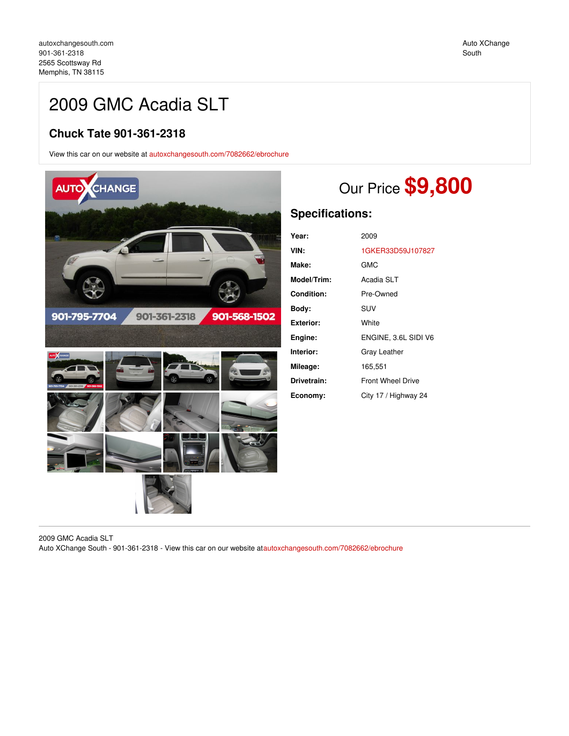## 2009 GMC Acadia SLT

## **Chuck Tate 901-361-2318**

View this car on our website at [autoxchangesouth.com/7082662/ebrochure](https://autoxchangesouth.com/vehicle/7082662/2009-gmc-acadia-slt-memphis-tn-38115/7082662/ebrochure)



# Our Price **\$9,800**

## **Specifications:**

| Year:       | 2009                     |
|-------------|--------------------------|
| VIN:        | 1GKER33D59J107827        |
| Make:       | GMC                      |
| Model/Trim: | Acadia SLT               |
| Condition:  | Pre-Owned                |
| Bodv:       | <b>SUV</b>               |
| Exterior:   | White                    |
| Engine:     | ENGINE, 3.6L SIDI V6     |
| Interior:   | Gray Leather             |
| Mileage:    | 165,551                  |
| Drivetrain: | <b>Front Wheel Drive</b> |
| Economy:    | City 17 / Highway 24     |

2009 GMC Acadia SLT Auto XChange South - 901-361-2318 - View this car on our website at[autoxchangesouth.com/7082662/ebrochure](https://autoxchangesouth.com/vehicle/7082662/2009-gmc-acadia-slt-memphis-tn-38115/7082662/ebrochure)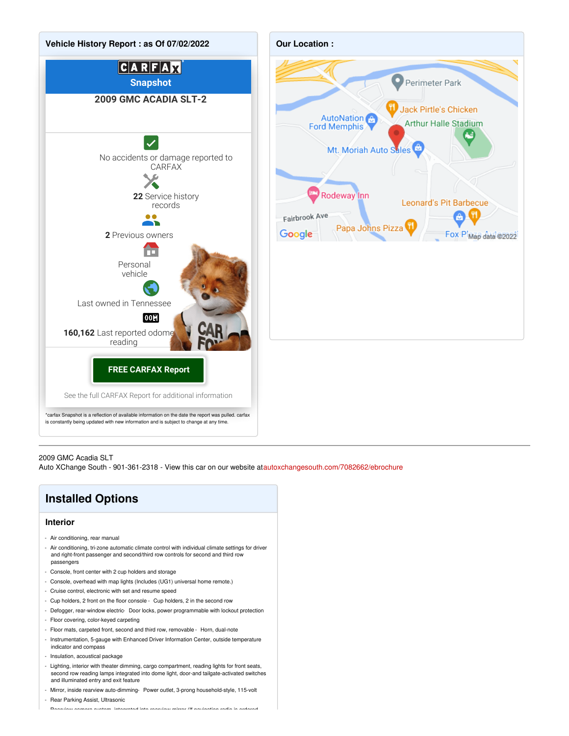



#### 2009 GMC Acadia SLT

Auto XChange South - 901-361-2318 - View this car on our website at[autoxchangesouth.com/7082662/ebrochure](https://autoxchangesouth.com/vehicle/7082662/2009-gmc-acadia-slt-memphis-tn-38115/7082662/ebrochure)

## **Installed Options Interior**

- 
- Air conditioning, rear manual
- Air conditioning, tri-zone automatic climate control with individual climate settings for driver and right-front passenger and second/third row controls for second and third row passengers
- Console, front center with 2 cup holders and storage
- Console, overhead with map lights (Includes (UG1) universal home remote.)
- Cruise control, electronic with set and resume speed
- Cup holders, 2 front on the floor console Cup holders, 2 in the second row
- Defogger, rear-window electric- Door locks, power programmable with lockout protection
- Floor covering, color-keyed carpeting
- Floor mats, carpeted front, second and third row, removable Horn, dual-note
- Instrumentation, 5-gauge with Enhanced Driver Information Center, outside temperature indicator and compass
- Insulation, acoustical package
- Lighting, interior with theater dimming, cargo compartment, reading lights for front seats, second row reading lamps integrated into dome light, door-and tailgate-activated switches and illuminated entry and exit feature
- Mirror, inside rearview auto-dimming- Power outlet, 3-prong household-style, 115-volt - Rear Parking Assist, Ultrasonic

- Rearview camera system, integrated into rearview mirror (If navigation radio is ordered,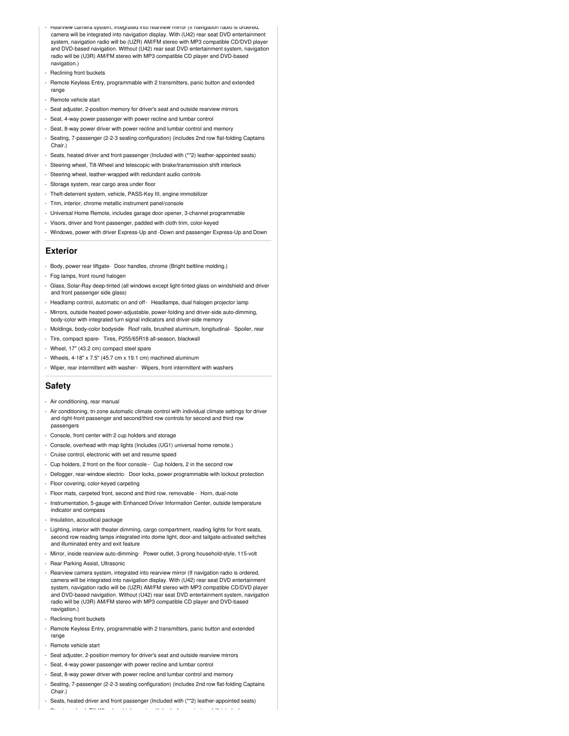- Rearview camera system, integrated into rearview mirror (If navigation radio is ordered, camera will be integrated into navigation display. With (U42) rear seat DVD entertainment system, navigation radio will be (UZR) AM/FM stereo with MP3 compatible CD/DVD player and DVD-based navigation. Without (U42) rear seat DVD entertainment system, navigation radio will be (U3R) AM/FM stereo with MP3 compatible CD player and DVD-based navigation.)
- Reclining front buckets
- Remote Keyless Entry, programmable with 2 transmitters, panic button and extended range
- Remote vehicle start
- Seat adjuster, 2-position memory for driver's seat and outside rearview mirrors
- Seat, 4-way power passenger with power recline and lumbar control
- Seat, 8-way power driver with power recline and lumbar control and memory
- Seating, 7-passenger (2-2-3 seating configuration) (includes 2nd row flat-folding Captains Chair.)
- Seats, heated driver and front passenger (Included with (\*\*2) leather-appointed seats)
- Steering wheel, Tilt-Wheel and telescopic with brake/transmission shift interlock
- Steering wheel, leather-wrapped with redundant audio controls
- Storage system, rear cargo area under floor
- Theft-deterrent system, vehicle, PASS-Key III, engine immobilizer
- Trim, interior, chrome metallic instrument panel/console
- Universal Home Remote, includes garage door opener, 3-channel programmable
- Visors, driver and front passenger, padded with cloth trim, color-keyed
- Windows, power with driver Express-Up and -Down and passenger Express-Up and Down

#### **Exterior**

- Body, power rear liftgate- Door handles, chrome (Bright beltline molding.)
- Fog lamps, front round halogen
- Glass, Solar-Ray deep-tinted (all windows except light-tinted glass on windshield and driver and front passenger side glass)
- Headlamp control, automatic on and off- Headlamps, dual halogen projector lamp
- Mirrors, outside heated power-adjustable, power-folding and driver-side auto-dimming, body-color with integrated turn signal indicators and driver-side memory
- Moldings, body-color bodyside- Roof rails, brushed aluminum, longitudinal- Spoiler, rear
- Tire, compact spare- Tires, P255/65R18 all-season, blackwall
- Wheel, 17" (43.2 cm) compact steel spare
- Wheels, 4-18" x 7.5" (45.7 cm x 19.1 cm) machined aluminum
- Wiper, rear intermittent with washer- Wipers, front intermittent with washers

#### **Safety**

- Air conditioning, rear manual
- Air conditioning, tri-zone automatic climate control with individual climate settings for driver and right-front passenger and second/third row controls for second and third row passengers
- Console, front center with 2 cup holders and storage
- Console, overhead with map lights (Includes (UG1) universal home remote.)
- Cruise control, electronic with set and resume speed
- Cup holders, 2 front on the floor console Cup holders, 2 in the second row
- Defogger, rear-window electric- Door locks, power programmable with lockout protection
- Floor covering, color-keyed carpeting
- Floor mats, carpeted front, second and third row, removable Horn, dual-note
- Instrumentation, 5-gauge with Enhanced Driver Information Center, outside temperature indicator and compass
- Insulation, acoustical package
- Lighting, interior with theater dimming, cargo compartment, reading lights for front seats, second row reading lamps integrated into dome light, door-and tailgate-activated switches and illuminated entry and exit feature
- Mirror, inside rearview auto-dimming- Power outlet, 3-prong household-style, 115-volt
- Rear Parking Assist, Ultrasonic
- Rearview camera system, integrated into rearview mirror (If navigation radio is ordered, camera will be integrated into navigation display. With (U42) rear seat DVD entertainment system, navigation radio will be (UZR) AM/FM stereo with MP3 compatible CD/DVD player and DVD-based navigation. Without (U42) rear seat DVD entertainment system, navigation radio will be (U3R) AM/FM stereo with MP3 compatible CD player and DVD-based navigation.)
- Reclining front buckets
- Remote Keyless Entry, programmable with 2 transmitters, panic button and extended range
- Remote vehicle start
- Seat adjuster, 2-position memory for driver's seat and outside rearview mirrors
- Seat, 4-way power passenger with power recline and lumbar control
- Seat, 8-way power driver with power recline and lumbar control and memory
- Seating, 7-passenger (2-2-3 seating configuration) (includes 2nd row flat-folding Captains Chair.)
- Seats, heated driver and front passenger (Included with (\*\*2) leather-appointed seats)
- Steering wheel, Tilt-Wheel and telescopic with brake/transmission shift interlock